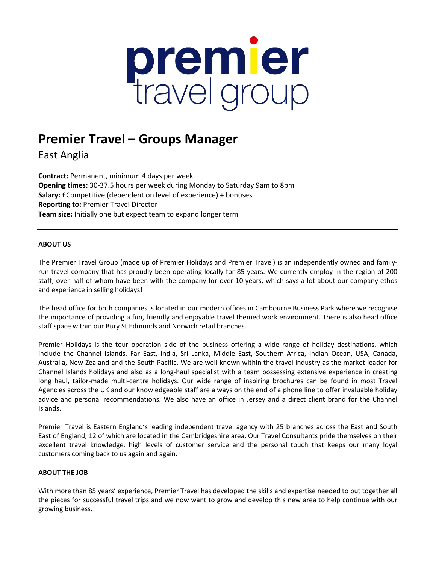# premier<br>travel group

# **Premier Travel – Groups Manager**

East Anglia

**Contract:** Permanent, minimum 4 days per week **Opening times:** 30-37.5 hours per week during Monday to Saturday 9am to 8pm **Salary:** £Competitive (dependent on level of experience) + bonuses **Reporting to:** Premier Travel Director **Team size:** Initially one but expect team to expand longer term

## **ABOUT US**

The Premier Travel Group (made up of Premier Holidays and Premier Travel) is an independently owned and familyrun travel company that has proudly been operating locally for 85 years. We currently employ in the region of 200 staff, over half of whom have been with the company for over 10 years, which says a lot about our company ethos and experience in selling holidays!

The head office for both companies is located in our modern offices in Cambourne Business Park where we recognise the importance of providing a fun, friendly and enjoyable travel themed work environment. There is also head office staff space within our Bury St Edmunds and Norwich retail branches.

Premier Holidays is the tour operation side of the business offering a wide range of holiday destinations, which include the Channel Islands, Far East, India, Sri Lanka, Middle East, Southern Africa, Indian Ocean, USA, Canada, Australia, New Zealand and the South Pacific. We are well known within the travel industry as the market leader for Channel Islands holidays and also as a long-haul specialist with a team possessing extensive experience in creating long haul, tailor-made multi-centre holidays. Our wide range of inspiring brochures can be found in most Travel Agencies across the UK and our knowledgeable staff are always on the end of a phone line to offer invaluable holiday advice and personal recommendations. We also have an office in Jersey and a direct client brand for the Channel Islands.

Premier Travel is Eastern England's leading independent travel agency with 25 branches across the East and South East of England, 12 of which are located in the Cambridgeshire area. Our Travel Consultants pride themselves on their excellent travel knowledge, high levels of customer service and the personal touch that keeps our many loyal customers coming back to us again and again.

### **ABOUT THE JOB**

With more than 85 years' experience, Premier Travel has developed the skills and expertise needed to put together all the pieces for successful travel trips and we now want to grow and develop this new area to help continue with our growing business.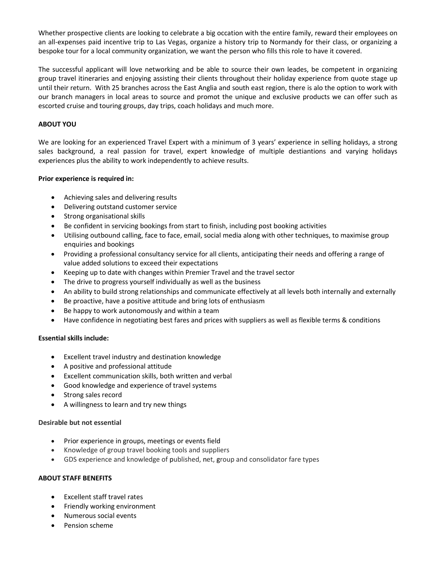Whether prospective clients are looking to celebrate a big occation with the entire family, reward their employees on an all-expenses paid incentive trip to Las Vegas, organize a history trip to Normandy for their class, or organizing a bespoke tour for a local community organization, we want the person who fills this role to have it covered.

The successful applicant will love networking and be able to source their own leades, be competent in organizing group travel itineraries and enjoying assisting their clients throughout their holiday experience from quote stage up until their return. With 25 branches across the East Anglia and south east region, there is alo the option to work with our branch managers in local areas to source and promot the unique and exclusive products we can offer such as escorted cruise and touring groups, day trips, coach holidays and much more.

### **ABOUT YOU**

We are looking for an experienced Travel Expert with a minimum of 3 years' experience in selling holidays, a strong sales background, a real passion for travel, expert knowledge of multiple destiantions and varying holidays experiences plus the ability to work independently to achieve results.

### **Prior experience is required in:**

- Achieving sales and delivering results
- Delivering outstand customer service
- Strong organisational skills
- Be confident in servicing bookings from start to finish, including post booking activities
- Utilising outbound calling, face to face, email, social media along with other techniques, to maximise group enquiries and bookings
- Providing a professional consultancy service for all clients, anticipating their needs and offering a range of value added solutions to exceed their expectations
- Keeping up to date with changes within Premier Travel and the travel sector
- The drive to progress yourself individually as well as the business
- An ability to build strong relationships and communicate effectively at all levels both internally and externally
- Be proactive, have a positive attitude and bring lots of enthusiasm
- Be happy to work autonomously and within a team
- Have confidence in negotiating best fares and prices with suppliers as well as flexible terms & conditions

### **Essential skills include:**

- Excellent travel industry and destination knowledge
- A positive and professional attitude
- Excellent communication skills, both written and verbal
- Good knowledge and experience of travel systems
- Strong sales record
- A willingness to learn and try new things

### **Desirable but not essential**

- Prior experience in groups, meetings or events field
- Knowledge of group travel booking tools and suppliers
- GDS experience and knowledge of published, net, group and consolidator fare types

### **ABOUT STAFF BENEFITS**

- Excellent staff travel rates
- Friendly working environment
- Numerous social events
- Pension scheme